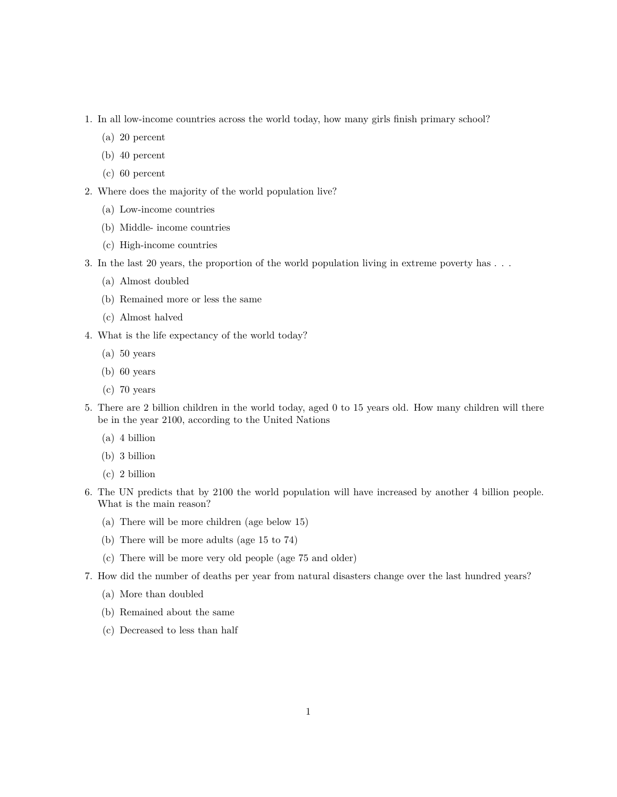- 1. In all low-income countries across the world today, how many girls finish primary school?
	- (a) 20 percent
	- (b) 40 percent
	- (c) 60 percent
- 2. Where does the majority of the world population live?
	- (a) Low-income countries
	- (b) Middle- income countries
	- (c) High-income countries
- 3. In the last 20 years, the proportion of the world population living in extreme poverty has . . .
	- (a) Almost doubled
	- (b) Remained more or less the same
	- (c) Almost halved
- 4. What is the life expectancy of the world today?
	- (a) 50 years
	- (b) 60 years
	- (c) 70 years
- 5. There are 2 billion children in the world today, aged 0 to 15 years old. How many children will there be in the year 2100, according to the United Nations
	- (a) 4 billion
	- (b) 3 billion
	- (c) 2 billion
- 6. The UN predicts that by 2100 the world population will have increased by another 4 billion people. What is the main reason?
	- (a) There will be more children (age below 15)
	- (b) There will be more adults (age 15 to 74)
	- (c) There will be more very old people (age 75 and older)
- 7. How did the number of deaths per year from natural disasters change over the last hundred years?
	- (a) More than doubled
	- (b) Remained about the same
	- (c) Decreased to less than half